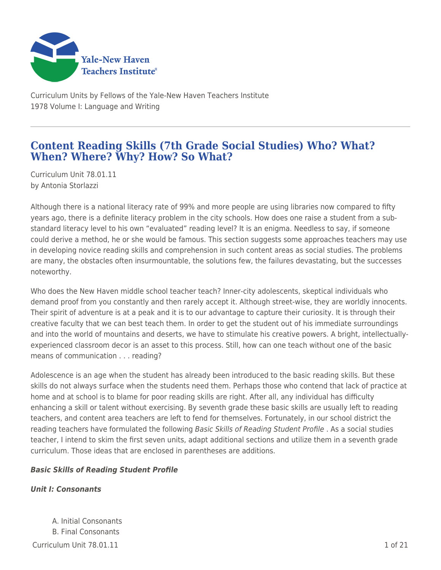

Curriculum Units by Fellows of the Yale-New Haven Teachers Institute 1978 Volume I: Language and Writing

# **Content Reading Skills (7th Grade Social Studies) Who? What? When? Where? Why? How? So What?**

Curriculum Unit 78.01.11 by Antonia Storlazzi

Although there is a national literacy rate of 99% and more people are using libraries now compared to fifty years ago, there is a definite literacy problem in the city schools. How does one raise a student from a substandard literacy level to his own "evaluated" reading level? It is an enigma. Needless to say, if someone could derive a method, he or she would be famous. This section suggests some approaches teachers may use in developing novice reading skills and comprehension in such content areas as social studies. The problems are many, the obstacles often insurmountable, the solutions few, the failures devastating, but the successes noteworthy.

Who does the New Haven middle school teacher teach? Inner-city adolescents, skeptical individuals who demand proof from you constantly and then rarely accept it. Although street-wise, they are worldly innocents. Their spirit of adventure is at a peak and it is to our advantage to capture their curiosity. It is through their creative faculty that we can best teach them. In order to get the student out of his immediate surroundings and into the world of mountains and deserts, we have to stimulate his creative powers. A bright, intellectuallyexperienced classroom decor is an asset to this process. Still, how can one teach without one of the basic means of communication . . . reading?

Adolescence is an age when the student has already been introduced to the basic reading skills. But these skills do not always surface when the students need them. Perhaps those who contend that lack of practice at home and at school is to blame for poor reading skills are right. After all, any individual has difficulty enhancing a skill or talent without exercising. By seventh grade these basic skills are usually left to reading teachers, and content area teachers are left to fend for themselves. Fortunately, in our school district the reading teachers have formulated the following Basic Skills of Reading Student Profile. As a social studies teacher, I intend to skim the first seven units, adapt additional sections and utilize them in a seventh grade curriculum. Those ideas that are enclosed in parentheses are additions.

## *Basic Skills of Reading Student Profile*

## *Unit I: Consonants*

 $C$ urriculum Unit 78.01.11  $\qquad \qquad$  1.06.21 A. Initial Consonants B. Final Consonants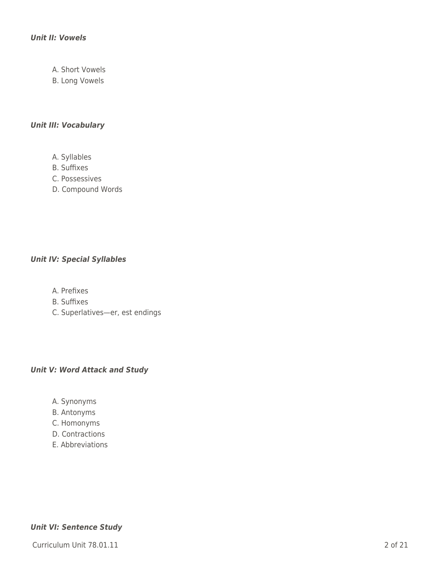### *Unit II: Vowels*

- A. Short Vowels
- B. Long Vowels

## *Unit III: Vocabulary*

- A. Syllables
- B. Suffixes
- C. Possessives
- D. Compound Words

### *Unit IV: Special Syllables*

- A. Prefixes
- B. Suffixes
- C. Superlatives—er, est endings

## *Unit V: Word Attack and Study*

- A. Synonyms
- B. Antonyms
- C. Homonyms
- D. Contractions
- E. Abbreviations

### *Unit VI: Sentence Study*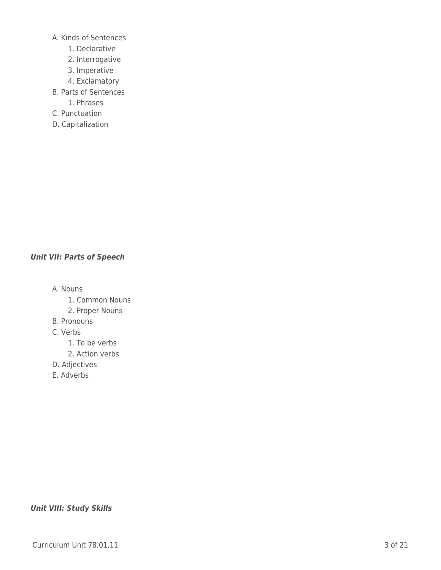A. Kinds of Sentences

- \_\_\_\_ 1. Declarative
- 2. Interrogative
- \_\_\_\_ 3. Imperative
- 4. Exclamatory
- B. Parts of Sentences
	- \_\_\_\_ 1. Phrases
- C. Punctuation
- D. Capitalization

## *Unit VII: Parts of Speech*

A. Nouns

- 1. Common Nouns
- 2. Proper Nouns
- B. Pronouns
- C. Verbs
	- 1. To be verbs
	- 2. Action verbs
- D. Adjectives
- E. Adverbs

### *Unit VIII: Study Skills*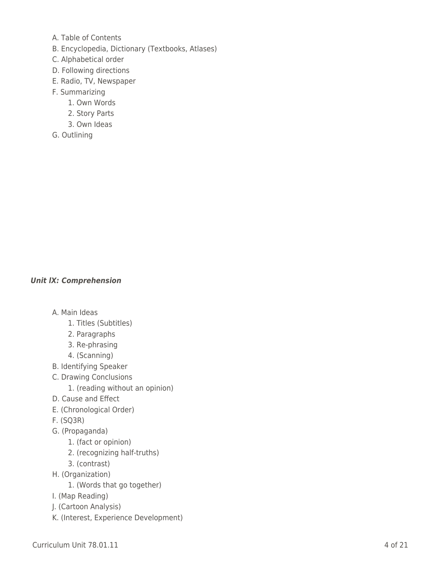- A. Table of Contents
- B. Encyclopedia, Dictionary (Textbooks, Atlases)
- C. Alphabetical order
- D. Following directions
- E. Radio, TV, Newspaper
- F. Summarizing
	- 1. Own Words
	- \_\_\_\_ 2. Story Parts
	- \_\_\_\_ 3. Own Ideas
- G. Outlining

## *Unit lX: Comprehension*

- A. Main Ideas
	- 1. Titles (Subtitles)
	- \_\_\_\_ 2. Paragraphs
	- \_\_\_\_ 3. Re-phrasing
	- \_\_\_\_ 4. (Scanning)
- B. Identifying Speaker
- C. Drawing Conclusions
	- 1. (reading without an opinion)
- D. Cause and Effect
- E. (Chronological Order)
- F. (SQ3R)
- G. (Propaganda)
	- 1. (fact or opinion)
	- 2. (recognizing half-truths)
	- \_\_\_\_ 3. (contrast)
- H. (Organization)
	- 1. (Words that go together)
- I. (Map Reading)
- J. (Cartoon Analysis)
- K. (Interest, Experience Development)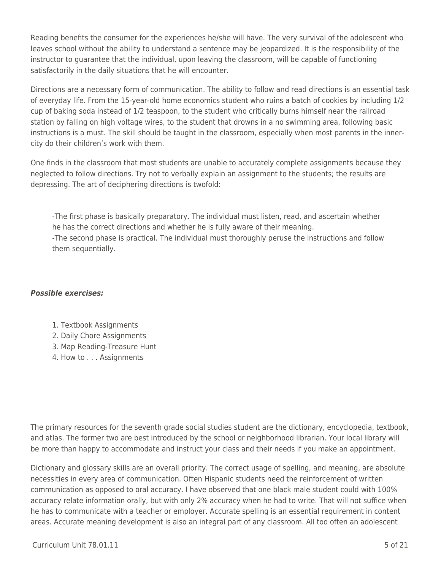Reading benefits the consumer for the experiences he/she will have. The very survival of the adolescent who leaves school without the ability to understand a sentence may be jeopardized. It is the responsibility of the instructor to guarantee that the individual, upon leaving the classroom, will be capable of functioning satisfactorily in the daily situations that he will encounter.

Directions are a necessary form of communication. The ability to follow and read directions is an essential task of everyday life. From the 15-year-old home economics student who ruins a batch of cookies by including 1/2 cup of baking soda instead of 1/2 teaspoon, to the student who critically burns himself near the railroad station by falling on high voltage wires, to the student that drowns in a no swimming area, following basic instructions is a must. The skill should be taught in the classroom, especially when most parents in the innercity do their children's work with them.

One finds in the classroom that most students are unable to accurately complete assignments because they neglected to follow directions. Try not to verbally explain an assignment to the students; the results are depressing. The art of deciphering directions is twofold:

-The first phase is basically preparatory. The individual must listen, read, and ascertain whether he has the correct directions and whether he is fully aware of their meaning. -The second phase is practical. The individual must thoroughly peruse the instructions and follow them sequentially.

## *Possible exercises:*

- 1. Textbook Assignments
- 2. Daily Chore Assignments
- 3. Map Reading-Treasure Hunt
- 4. How to . . . Assignments

The primary resources for the seventh grade social studies student are the dictionary, encyclopedia, textbook, and atlas. The former two are best introduced by the school or neighborhood librarian. Your local library will be more than happy to accommodate and instruct your class and their needs if you make an appointment.

Dictionary and glossary skills are an overall priority. The correct usage of spelling, and meaning, are absolute necessities in every area of communication. Often Hispanic students need the reinforcement of written communication as opposed to oral accuracy. I have observed that one black male student could with 100% accuracy relate information orally, but with only 2% accuracy when he had to write. That will not suffice when he has to communicate with a teacher or employer. Accurate spelling is an essential requirement in content areas. Accurate meaning development is also an integral part of any classroom. All too often an adolescent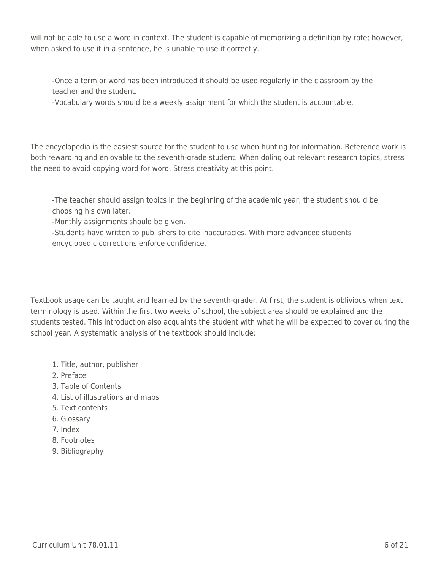will not be able to use a word in context. The student is capable of memorizing a definition by rote; however, when asked to use it in a sentence, he is unable to use it correctly.

-Once a term or word has been introduced it should be used regularly in the classroom by the teacher and the student.

-Vocabulary words should be a weekly assignment for which the student is accountable.

The encyclopedia is the easiest source for the student to use when hunting for information. Reference work is both rewarding and enjoyable to the seventh-grade student. When doling out relevant research topics, stress the need to avoid copying word for word. Stress creativity at this point.

-The teacher should assign topics in the beginning of the academic year; the student should be choosing his own later.

-Monthly assignments should be given.

-Students have written to publishers to cite inaccuracies. With more advanced students encyclopedic corrections enforce confidence.

Textbook usage can be taught and learned by the seventh-grader. At first, the student is oblivious when text terminology is used. Within the first two weeks of school, the subject area should be explained and the students tested. This introduction also acquaints the student with what he will be expected to cover during the school year. A systematic analysis of the textbook should include:

- 1. Title, author, publisher
- 2. Preface
- 3. Table of Contents
- 4. List of illustrations and maps
- 5. Text contents
- 6. Glossary
- 7. Index
- 8. Footnotes
- 9. Bibliography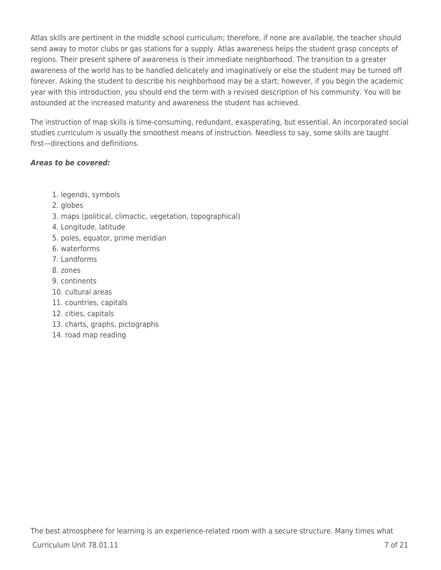Atlas skills are pertinent in the middle school curriculum; therefore, if none are available, the teacher should send away to motor clubs or gas stations for a supply. Atlas awareness helps the student grasp concepts of regions. Their present sphere of awareness is their immediate neighborhood. The transition to a greater awareness of the world has to be handled delicately and imaginatively or else the student may be turned off forever. Asking the student to describe his neighborhood may be a start; however, if you begin the academic year with this introduction, you should end the term with a revised description of his community. You will be astounded at the increased maturity and awareness the student has achieved.

The instruction of map skills is time-consuming, redundant, exasperating, but essential. An incorporated social studies curriculum is usually the smoothest means of instruction. Needless to say, some skills are taught first—directions and definitions.

## *Areas to be covered:*

- 1. legends, symbols
- 2. globes
- 3. maps (political, climactic, vegetation, topographical)
- 4. Longitude, latitude
- 5. poles, equator, prime meridian
- 6. waterforms
- 7. Landforms
- 8. zones
- 9. continents
- 10. cultural areas
- 11. countries, capitals
- 12. cities, capitals
- 13. charts, graphs, pictographs
- 14. road map reading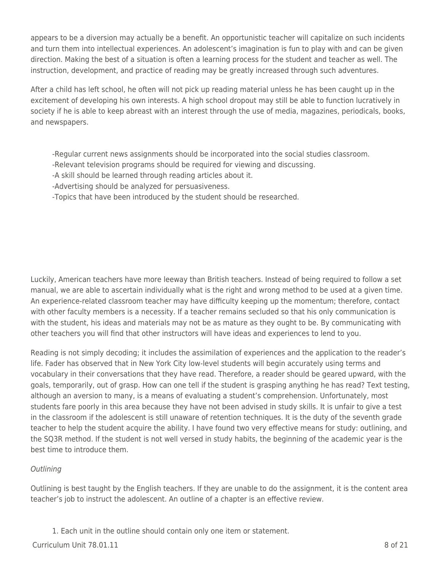appears to be a diversion may actually be a benefit. An opportunistic teacher will capitalize on such incidents and turn them into intellectual experiences. An adolescent's imagination is fun to play with and can be given direction. Making the best of a situation is often a learning process for the student and teacher as well. The instruction, development, and practice of reading may be greatly increased through such adventures.

After a child has left school, he often will not pick up reading material unless he has been caught up in the excitement of developing his own interests. A high school dropout may still be able to function lucratively in society if he is able to keep abreast with an interest through the use of media, magazines, periodicals, books, and newspapers.

- -Regular current news assignments should be incorporated into the social studies classroom.
- -Relevant television programs should be required for viewing and discussing.
- -A skill should be learned through reading articles about it.
- -Advertising should be analyzed for persuasiveness.
- -Topics that have been introduced by the student should be researched.

Luckily, American teachers have more leeway than British teachers. Instead of being required to follow a set manual, we are able to ascertain individually what is the right and wrong method to be used at a given time. An experience-related classroom teacher may have difficulty keeping up the momentum; therefore, contact with other faculty members is a necessity. If a teacher remains secluded so that his only communication is with the student, his ideas and materials may not be as mature as they ought to be. By communicating with other teachers you will find that other instructors will have ideas and experiences to lend to you.

Reading is not simply decoding; it includes the assimilation of experiences and the application to the reader's life. Fader has observed that in New York City low-level students will begin accurately using terms and vocabulary in their conversations that they have read. Therefore, a reader should be geared upward, with the goals, temporarily, out of grasp. How can one tell if the student is grasping anything he has read? Text testing, although an aversion to many, is a means of evaluating a student's comprehension. Unfortunately, most students fare poorly in this area because they have not been advised in study skills. It is unfair to give a test in the classroom if the adolescent is still unaware of retention techniques. It is the duty of the seventh grade teacher to help the student acquire the ability. I have found two very effective means for study: outlining, and the SQ3R method. If the student is not well versed in study habits, the beginning of the academic year is the best time to introduce them.

## **Outlining**

Outlining is best taught by the English teachers. If they are unable to do the assignment, it is the content area teacher's job to instruct the adolescent. An outline of a chapter is an effective review.

1. Each unit in the outline should contain only one item or statement.

 $C$ urriculum Unit 78.01.11  $\overline{8}$  of 21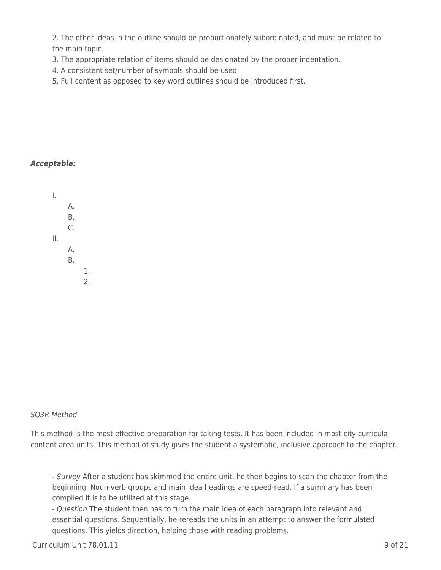2. The other ideas in the outline should be proportionately subordinated, and must be related to the main topic.

- 3. The appropriate relation of items should be designated by the proper indentation.
- 4. A consistent set/number of symbols should be used.
- 5. Full content as opposed to key word outlines should be introduced first.

### *Acceptable:*

I.  $A.$  $B<sub>r</sub>$  $C_{\cdot}$ II.  $A<sub>1</sub>$  $B.$  $1.$  $2.$ 

### SQ3R Method

This method is the most effective preparation for taking tests. It has been included in most city curricula content area units. This method of study gives the student a systematic, inclusive approach to the chapter.

- Survey After a student has skimmed the entire unit, he then begins to scan the chapter from the beginning. Noun-verb groups and main idea headings are speed-read. If a summary has been compiled it is to be utilized at this stage.

- Question The student then has to turn the main idea of each paragraph into relevant and essential questions. Sequentially, he rereads the units in an attempt to answer the formulated questions. This yields direction, helping those with reading problems.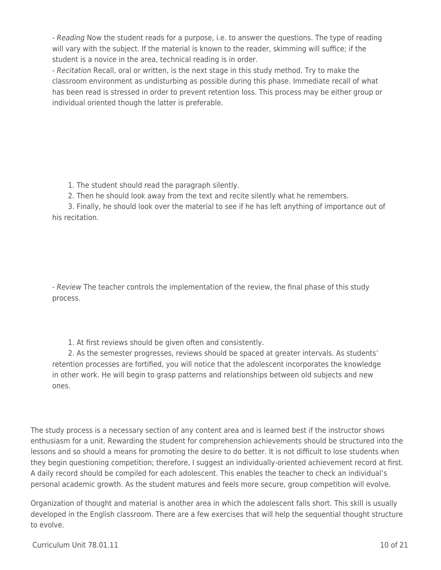- Reading Now the student reads for a purpose, i.e. to answer the questions. The type of reading will vary with the subject. If the material is known to the reader, skimming will suffice; if the student is a novice in the area, technical reading is in order.

- Recitation Recall, oral or written, is the next stage in this study method. Try to make the classroom environment as undisturbing as possible during this phase. Immediate recall of what has been read is stressed in order to prevent retention loss. This process may be either group or individual oriented though the latter is preferable.

1. The student should read the paragraph silently.

2. Then he should look away from the text and recite silently what he remembers.

3. Finally, he should look over the material to see if he has left anything of importance out of his recitation.

- Review The teacher controls the implementation of the review, the final phase of this study process.

1. At first reviews should be given often and consistently.

2. As the semester progresses, reviews should be spaced at greater intervals. As students' retention processes are fortified, you will notice that the adolescent incorporates the knowledge in other work. He will begin to grasp patterns and relationships between old subjects and new ones.

The study process is a necessary section of any content area and is learned best if the instructor shows enthusiasm for a unit. Rewarding the student for comprehension achievements should be structured into the lessons and so should a means for promoting the desire to do better. It is not difficult to lose students when they begin questioning competition; therefore, I suggest an individually-oriented achievement record at first. A daily record should be compiled for each adolescent. This enables the teacher to check an individual's personal academic growth. As the student matures and feels more secure, group competition will evolve.

Organization of thought and material is another area in which the adolescent falls short. This skill is usually developed in the English classroom. There are a few exercises that will help the sequential thought structure to evolve.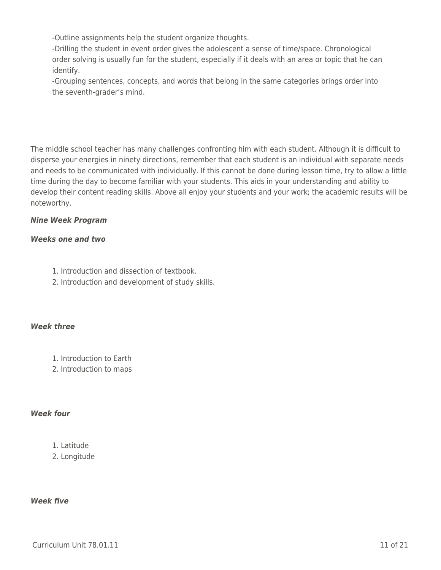-Outline assignments help the student organize thoughts.

-Drilling the student in event order gives the adolescent a sense of time/space. Chronological order solving is usually fun for the student, especially if it deals with an area or topic that he can identify.

-Grouping sentences, concepts, and words that belong in the same categories brings order into the seventh-grader's mind.

The middle school teacher has many challenges confronting him with each student. Although it is difficult to disperse your energies in ninety directions, remember that each student is an individual with separate needs and needs to be communicated with individually. If this cannot be done during lesson time, try to allow a little time during the day to become familiar with your students. This aids in your understanding and ability to develop their content reading skills. Above all enjoy your students and your work; the academic results will be noteworthy.

## *Nine Week Program*

## *Weeks one and two*

- 1. Introduction and dissection of textbook.
- 2. Introduction and development of study skills.

## *Week three*

- 1. Introduction to Earth
- 2. Introduction to maps

## *Week four*

## 1. Latitude

2. Longitude

## *Week five*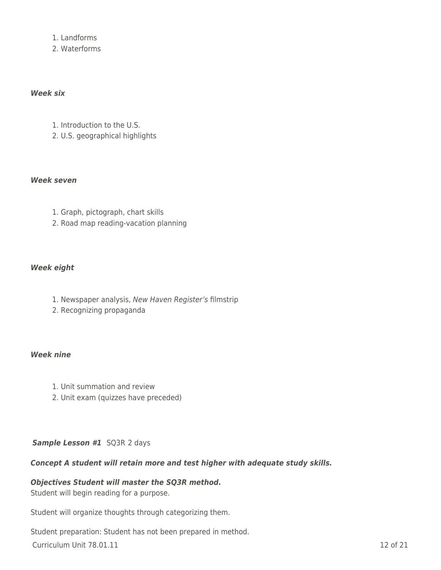1. Landforms

2. Waterforms

### *Week six*

- 1. Introduction to the U.S.
- 2. U.S. geographical highlights

### *Week seven*

- 1. Graph, pictograph, chart skills
- 2. Road map reading-vacation planning

### *Week eight*

- 1. Newspaper analysis, New Haven Register's filmstrip
- 2. Recognizing propaganda

### *Week nine*

- 1. Unit summation and review
- 2. Unit exam (quizzes have preceded)

## *Sample Lesson #1* SQ3R 2 days

### *Concept A student will retain more and test higher with adequate study skills.*

### *Objectives Student will master the SQ3R method.*

Student will begin reading for a purpose.

Student will organize thoughts through categorizing them.

Student preparation: Student has not been prepared in method.

**Curriculum Unit 78.01.11** 12 of 21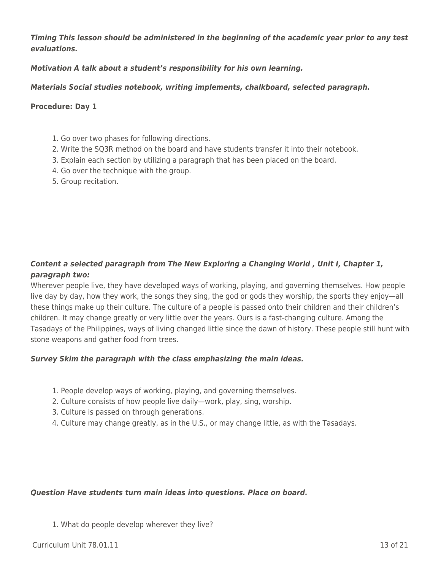*Timing This lesson should be administered in the beginning of the academic year prior to any test evaluations.*

*Motivation A talk about a student's responsibility for his own learning.*

*Materials Social studies notebook, writing implements, chalkboard, selected paragraph.*

### **Procedure: Day 1**

- 1. Go over two phases for following directions.
- 2. Write the SQ3R method on the board and have students transfer it into their notebook.
- 3. Explain each section by utilizing a paragraph that has been placed on the board.
- 4. Go over the technique with the group.
- 5. Group recitation.

## *Content a selected paragraph from The New Exploring a Changing World , Unit I, Chapter 1, paragraph two:*

Wherever people live, they have developed ways of working, playing, and governing themselves. How people live day by day, how they work, the songs they sing, the god or gods they worship, the sports they enjoy—all these things make up their culture. The culture of a people is passed onto their children and their children's children. It may change greatly or very little over the years. Ours is a fast-changing culture. Among the Tasadays of the Philippines, ways of living changed little since the dawn of history. These people still hunt with stone weapons and gather food from trees.

## *Survey Skim the paragraph with the class emphasizing the main ideas.*

- 1. People develop ways of working, playing, and governing themselves.
- 2. Culture consists of how people live daily—work, play, sing, worship.
- 3. Culture is passed on through generations.
- 4. Culture may change greatly, as in the U.S., or may change little, as with the Tasadays.

### *Question Have students turn main ideas into questions. Place on board.*

1. What do people develop wherever they live?

 $C$ urriculum Unit 78.01.11  $\qquad \qquad$  13 of 21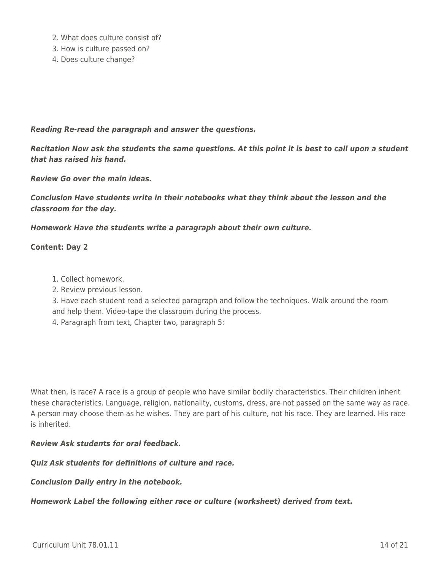- 2. What does culture consist of?
- 3. How is culture passed on?
- 4. Does culture change?

#### *Reading Re-read the paragraph and answer the questions.*

*Recitation Now ask the students the same questions. At this point it is best to call upon a student that has raised his hand.*

*Review Go over the main ideas.*

*Conclusion Have students write in their notebooks what they think about the lesson and the classroom for the day.*

*Homework Have the students write a paragraph about their own culture.*

#### **Content: Day 2**

- 1. Collect homework.
- 2. Review previous lesson.

3. Have each student read a selected paragraph and follow the techniques. Walk around the room and help them. Video-tape the classroom during the process.

4. Paragraph from text, Chapter two, paragraph 5:

What then, is race? A race is a group of people who have similar bodily characteristics. Their children inherit these characteristics. Language, religion, nationality, customs, dress, are not passed on the same way as race. A person may choose them as he wishes. They are part of his culture, not his race. They are learned. His race is inherited.

#### *Review Ask students for oral feedback.*

### *Quiz Ask students for definitions of culture and race.*

#### *Conclusion Daily entry in the notebook.*

*Homework Label the following either race or culture (worksheet) derived from text.*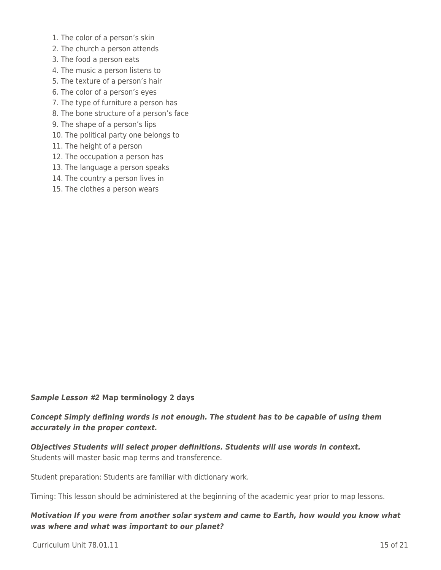- 1. The color of a person's skin
- 2. The church a person attends
- 3. The food a person eats
- 4. The music a person listens to
- 5. The texture of a person's hair
- 6. The color of a person's eyes
- 7. The type of furniture a person has
- 8. The bone structure of a person's face
- 9. The shape of a person's lips
- 10. The political party one belongs to
- 11. The height of a person
- 12. The occupation a person has
- 13. The language a person speaks
- 14. The country a person lives in
- 15. The clothes a person wears

#### *Sample Lesson #2* **Map terminology 2 days**

## *Concept Simply defining words is not enough. The student has to be capable of using them accurately in the proper context.*

*Objectives Students will select proper definitions. Students will use words in context.* Students will master basic map terms and transference.

Student preparation: Students are familiar with dictionary work.

Timing: This lesson should be administered at the beginning of the academic year prior to map lessons.

### *Motivation If you were from another solar system and came to Earth, how would you know what was where and what was important to our planet?*

 $C$ urriculum Unit 78.01.11  $\qquad \qquad$  15 of 21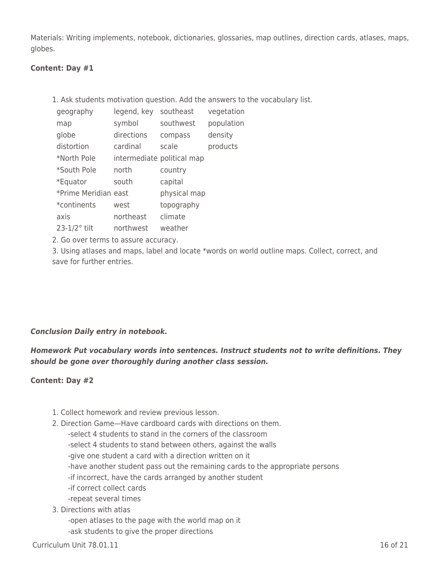Materials: Writing implements, notebook, dictionaries, glossaries, map outlines, direction cards, atlases, maps, globes.

### **Content: Day #1**

1. Ask students motivation question. Add the answers to the vocabulary list.

| geography            | legend, key | southeast                  | vegetation |
|----------------------|-------------|----------------------------|------------|
| map                  | symbol      | southwest                  | population |
| globe                | directions  | compass                    | density    |
| distortion           | cardinal    | scale                      | products   |
| *North Pole          |             | intermediate political map |            |
| *South Pole          | north       | country                    |            |
| *Equator             | south       | capital                    |            |
| *Prime Meridian east |             | physical map               |            |
| *continents          | west        | topography                 |            |
| axis                 | northeast   | climate                    |            |
| $23-1/2$ ° tilt      | northwest   | weather                    |            |

2. Go over terms to assure accuracy.

3. Using atlases and maps, label and locate \*words on world outline maps. Collect, correct, and save for further entries.

## *Conclusion Daily entry in notebook.*

## *Homework Put vocabulary words into sentences. Instruct students not to write definitions. They should be gone over thoroughly during another class session.*

## **Content: Day #2**

- 1. Collect homework and review previous lesson.
- 2. Direction Game—Have cardboard cards with directions on them.
	- -select 4 students to stand in the corners of the classroom
	- -select 4 students to stand between others, against the walls
	- -give one student a card with a direction written on it
	- -have another student pass out the remaining cards to the appropriate persons
	- -if incorrect, have the cards arranged by another student
	- -if correct collect cards
	- -repeat several times
- 3. Directions with atlas
	- -open atlases to the page with the world map on it
	- -ask students to give the proper directions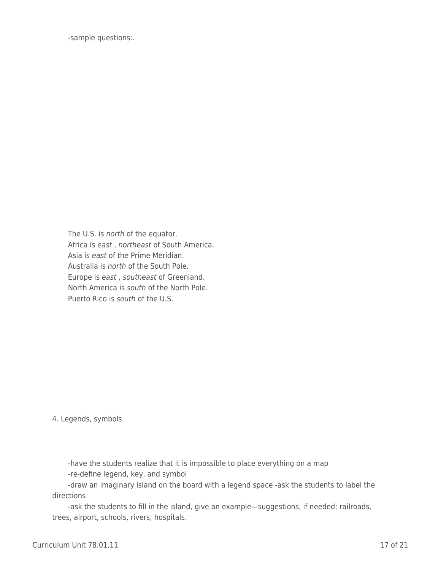-sample questions:.

The U.S. is north of the equator. Africa is east, northeast of South America. Asia is east of the Prime Meridian. Australia is north of the South Pole. Europe is east, southeast of Greenland. North America is south of the North Pole. Puerto Rico is south of the U.S.

4. Legends, symbols

-have the students realize that it is impossible to place everything on a map -re-define legend, key, and symbol

-draw an imaginary island on the board with a legend space -ask the students to label the directions

-ask the students to fill in the island, give an example—suggestions, if needed: railroads, trees, airport, schools, rivers, hospitals.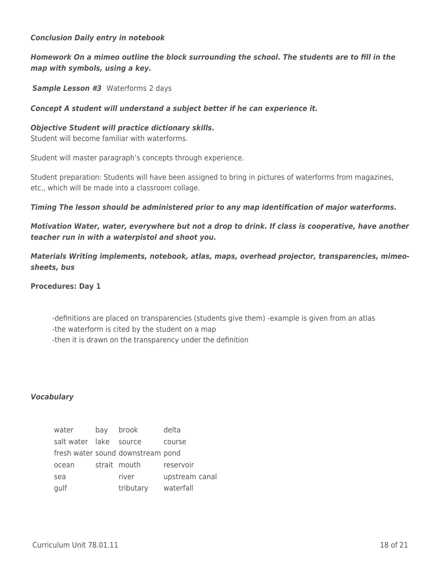### *Conclusion Daily entry in notebook*

## *Homework On a mimeo outline the block surrounding the school. The students are to fill in the map with symbols, using a key.*

**Sample Lesson #3** Waterforms 2 days

### *Concept A student will understand a subject better if he can experience it.*

#### *Objective Student will practice dictionary skills.*

Student will become familiar with waterforms.

Student will master paragraph's concepts through experience.

Student preparation: Students will have been assigned to bring in pictures of waterforms from magazines, etc., which will be made into a classroom collage.

*Timing The lesson should be administered prior to any map identification of major waterforms.*

*Motivation Water, water, everywhere but not a drop to drink. If class is cooperative, have another teacher run in with a waterpistol and shoot you.*

*Materials Writing implements, notebook, atlas, maps, overhead projector, transparencies, mimeosheets, bus*

**Procedures: Day 1**

-definitions are placed on transparencies (students give them) -example is given from an atlas -the waterform is cited by the student on a map -then it is drawn on the transparency under the definition

### *Vocabulary*

| water                  | bay | brook                             | delta          |
|------------------------|-----|-----------------------------------|----------------|
| salt water lake source |     |                                   | course         |
|                        |     | fresh water sound downstream pond |                |
| ocean                  |     | strait mouth                      | reservoir      |
| sea                    |     | river                             | upstream canal |
| gulf                   |     | tributary                         | waterfall      |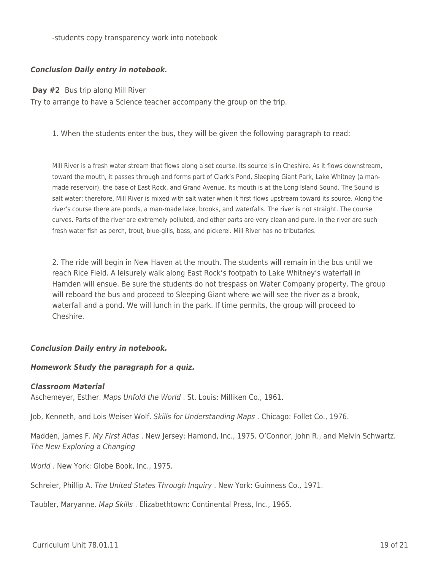-students copy transparency work into notebook

### *Conclusion Daily entry in notebook.*

**Day #2** Bus trip along Mill River

Try to arrange to have a Science teacher accompany the group on the trip.

1. When the students enter the bus, they will be given the following paragraph to read:

Mill River is a fresh water stream that flows along a set course. Its source is in Cheshire. As it flows downstream, toward the mouth, it passes through and forms part of Clark's Pond, Sleeping Giant Park, Lake Whitney (a manmade reservoir), the base of East Rock, and Grand Avenue. Its mouth is at the Long Island Sound. The Sound is salt water; therefore, Mill River is mixed with salt water when it first flows upstream toward its source. Along the river's course there are ponds, a man-made lake, brooks, and waterfalls. The river is not straight. The course curves. Parts of the river are extremely polluted, and other parts are very clean and pure. In the river are such fresh water fish as perch, trout, blue-gills, bass, and pickerel. Mill River has no tributaries.

2. The ride will begin in New Haven at the mouth. The students will remain in the bus until we reach Rice Field. A leisurely walk along East Rock's footpath to Lake Whitney's waterfall in Hamden will ensue. Be sure the students do not trespass on Water Company property. The group will reboard the bus and proceed to Sleeping Giant where we will see the river as a brook, waterfall and a pond. We will lunch in the park. If time permits, the group will proceed to Cheshire.

### *Conclusion Daily entry in notebook.*

### *Homework Study the paragraph for a quiz.*

#### *Classroom Material*

Aschemeyer, Esther. Maps Unfold the World . St. Louis: Milliken Co., 1961.

Job, Kenneth, and Lois Weiser Wolf. Skills for Understanding Maps . Chicago: Follet Co., 1976.

Madden, James F. My First Atlas . New Jersey: Hamond, Inc., 1975. O'Connor, John R., and Melvin Schwartz. The New Exploring a Changing

World . New York: Globe Book, Inc., 1975.

Schreier, Phillip A. The United States Through Inquiry . New York: Guinness Co., 1971.

Taubler, Maryanne. Map Skills . Elizabethtown: Continental Press, Inc., 1965.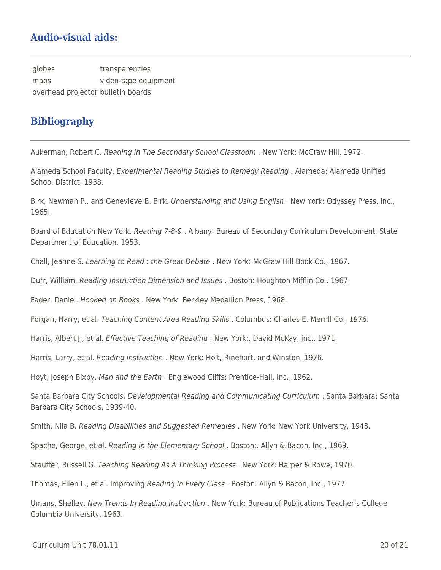# **Audio-visual aids:**

globes transparencies maps video-tape equipment overhead projector bulletin boards

# **Bibliography**

Aukerman, Robert C. Reading In The Secondary School Classroom . New York: McGraw Hill, 1972.

Alameda School Faculty. Experimental Reading Studies to Remedy Reading . Alameda: Alameda Unified School District, 1938.

Birk, Newman P., and Genevieve B. Birk. Understanding and Using English. New York: Odyssey Press, Inc., 1965.

Board of Education New York. Reading 7-8-9. Albany: Bureau of Secondary Curriculum Development, State Department of Education, 1953.

Chall, Jeanne S. Learning to Read : the Great Debate . New York: McGraw Hill Book Co., 1967.

Durr, William. Reading Instruction Dimension and Issues . Boston: Houghton Mifflin Co., 1967.

Fader, Daniel. Hooked on Books . New York: Berkley Medallion Press, 1968.

Forgan, Harry, et al. Teaching Content Area Reading Skills . Columbus: Charles E. Merrill Co., 1976.

Harris, Albert J., et al. *Effective Teaching of Reading* . New York:. David McKay, inc., 1971.

Harris, Larry, et al. Reading instruction . New York: Holt, Rinehart, and Winston, 1976.

Hoyt, Joseph Bixby. Man and the Earth . Englewood Cliffs: Prentice-Hall, Inc., 1962.

Santa Barbara City Schools. Developmental Reading and Communicating Curriculum . Santa Barbara: Santa Barbara City Schools, 1939-40.

Smith, Nila B. Reading Disabilities and Suggested Remedies . New York: New York University, 1948.

Spache, George, et al. Reading in the Elementary School . Boston:. Allyn & Bacon, Inc., 1969.

Stauffer, Russell G. Teaching Reading As A Thinking Process . New York: Harper & Rowe, 1970.

Thomas, Ellen L., et al. Improving Reading In Every Class . Boston: Allyn & Bacon, Inc., 1977.

Umans, Shelley. New Trends In Reading Instruction . New York: Bureau of Publications Teacher's College Columbia University, 1963.